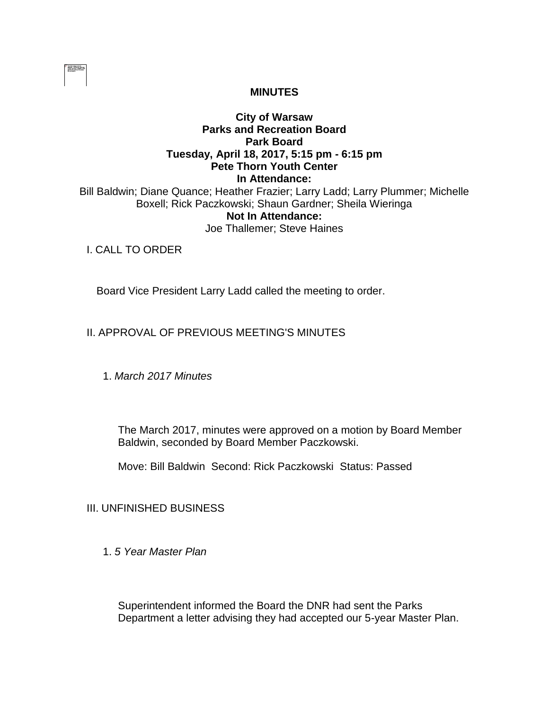

## **MINUTES**

#### **City of Warsaw Parks and Recreation Board Park Board Tuesday, April 18, 2017, 5:15 pm - 6:15 pm Pete Thorn Youth Center In Attendance:**  Bill Baldwin; Diane Quance; Heather Frazier; Larry Ladd; Larry Plummer; Michelle Boxell; Rick Paczkowski; Shaun Gardner; Sheila Wieringa **Not In Attendance:**

Joe Thallemer; Steve Haines

I. CALL TO ORDER

Board Vice President Larry Ladd called the meeting to order.

## II. APPROVAL OF PREVIOUS MEETING'S MINUTES

1. *March 2017 Minutes*

The March 2017, minutes were approved on a motion by Board Member Baldwin, seconded by Board Member Paczkowski.

Move: Bill Baldwin Second: Rick Paczkowski Status: Passed

III. UNFINISHED BUSINESS

1. *5 Year Master Plan* 

Superintendent informed the Board the DNR had sent the Parks Department a letter advising they had accepted our 5-year Master Plan.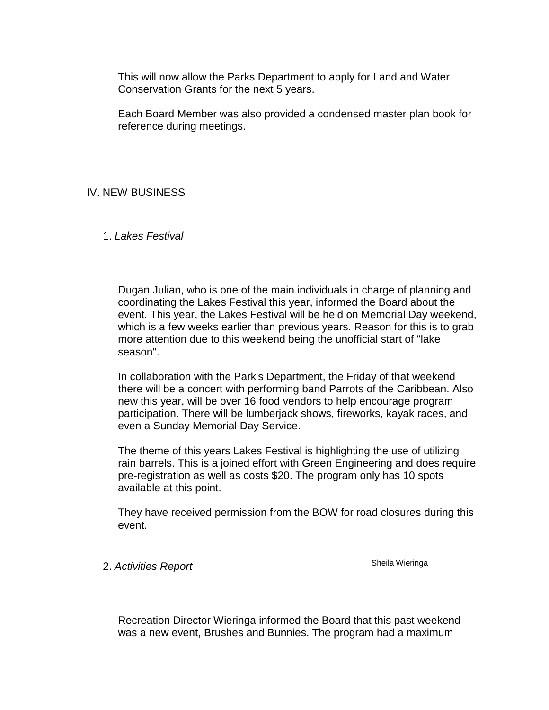This will now allow the Parks Department to apply for Land and Water Conservation Grants for the next 5 years.

Each Board Member was also provided a condensed master plan book for reference during meetings.

# IV. NEW BUSINESS

1. *Lakes Festival* 

Dugan Julian, who is one of the main individuals in charge of planning and coordinating the Lakes Festival this year, informed the Board about the event. This year, the Lakes Festival will be held on Memorial Day weekend, which is a few weeks earlier than previous years. Reason for this is to grab more attention due to this weekend being the unofficial start of "lake season".

In collaboration with the Park's Department, the Friday of that weekend there will be a concert with performing band Parrots of the Caribbean. Also new this year, will be over 16 food vendors to help encourage program participation. There will be lumberjack shows, fireworks, kayak races, and even a Sunday Memorial Day Service.

The theme of this years Lakes Festival is highlighting the use of utilizing rain barrels. This is a joined effort with Green Engineering and does require pre-registration as well as costs \$20. The program only has 10 spots available at this point.

They have received permission from the BOW for road closures during this event.

2. Activities Report **Sheila Wieringa Sheila Wieringa** 

Recreation Director Wieringa informed the Board that this past weekend was a new event, Brushes and Bunnies. The program had a maximum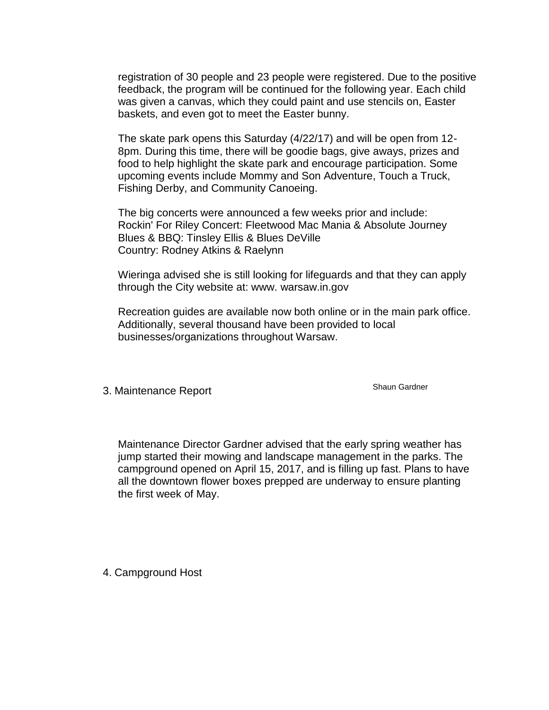registration of 30 people and 23 people were registered. Due to the positive feedback, the program will be continued for the following year. Each child was given a canvas, which they could paint and use stencils on, Easter baskets, and even got to meet the Easter bunny.

The skate park opens this Saturday (4/22/17) and will be open from 12- 8pm. During this time, there will be goodie bags, give aways, prizes and food to help highlight the skate park and encourage participation. Some upcoming events include Mommy and Son Adventure, Touch a Truck, Fishing Derby, and Community Canoeing.

The big concerts were announced a few weeks prior and include: Rockin' For Riley Concert: Fleetwood Mac Mania & Absolute Journey Blues & BBQ: Tinsley Ellis & Blues DeVille Country: Rodney Atkins & Raelynn

Wieringa advised she is still looking for lifeguards and that they can apply through the City website at: www. warsaw.in.gov

Recreation guides are available now both online or in the main park office. Additionally, several thousand have been provided to local businesses/organizations throughout Warsaw.

3. Maintenance Report Shaun Gardner

Maintenance Director Gardner advised that the early spring weather has jump started their mowing and landscape management in the parks. The campground opened on April 15, 2017, and is filling up fast. Plans to have all the downtown flower boxes prepped are underway to ensure planting the first week of May.

4. Campground Host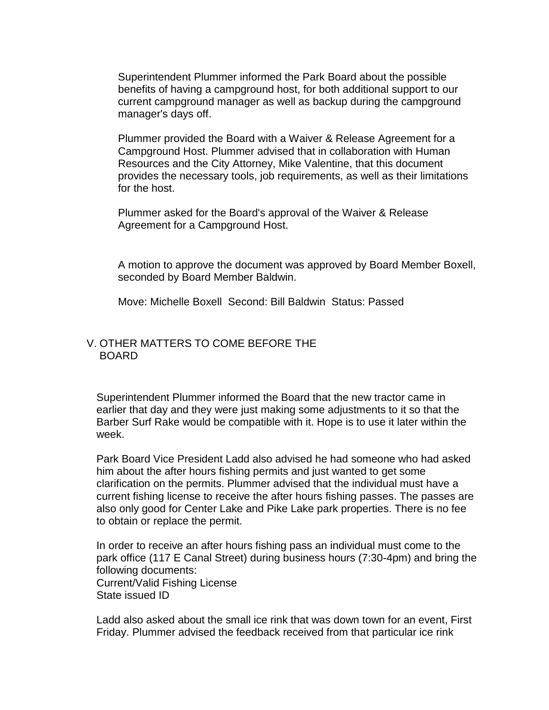Superintendent Plummer informed the Park Board about the possible benefits of having a campground host, for both additional support to our current campground manager as well as backup during the campground manager's days off.

Plummer provided the Board with a Waiver & Release Agreement for a Campground Host. Plummer advised that in collaboration with Human Resources and the City Attorney, Mike Valentine, that this document provides the necessary tools, job requirements, as well as their limitations for the host.

Plummer asked for the Board's approval of the Waiver & Release Agreement for a Campground Host.

A motion to approve the document was approved by Board Member Boxell, seconded by Board Member Baldwin.

Move: Michelle Boxell Second: Bill Baldwin Status: Passed

#### V. OTHER MATTERS TO COME BEFORE THE BOARD

Superintendent Plummer informed the Board that the new tractor came in earlier that day and they were just making some adjustments to it so that the Barber Surf Rake would be compatible with it. Hope is to use it later within the week.

Park Board Vice President Ladd also advised he had someone who had asked him about the after hours fishing permits and just wanted to get some clarification on the permits. Plummer advised that the individual must have a current fishing license to receive the after hours fishing passes. The passes are also only good for Center Lake and Pike Lake park properties. There is no fee to obtain or replace the permit.

In order to receive an after hours fishing pass an individual must come to the park office (117 E Canal Street) during business hours (7:30-4pm) and bring the following documents: Current/Valid Fishing License State issued ID

Ladd also asked about the small ice rink that was down town for an event, First Friday. Plummer advised the feedback received from that particular ice rink